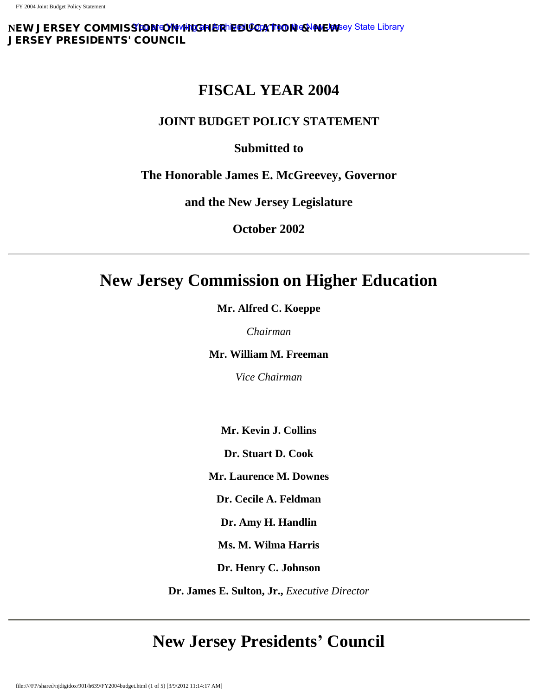**NEW JERSEY COMMISSION ON HIGHER ER LOOK TION & NEW S**ey State Library JERSEY PRESIDENTS' COUNCIL

# **FISCAL YEAR 2004**

# **JOINT BUDGET POLICY STATEMENT**

# **Submitted to**

# **The Honorable James E. McGreevey, Governor**

**and the New Jersey Legislature**

**October 2002**

# **New Jersey Commission on Higher Education**

**Mr. Alfred C. Koeppe**

*Chairman*

**Mr. William M. Freeman**

*Vice Chairman*

**Mr. Kevin J. Collins**

**Dr. Stuart D. Cook**

**Mr. Laurence M. Downes**

**Dr. Cecile A. Feldman**

**Dr. Amy H. Handlin**

**Ms. M. Wilma Harris**

**Dr. Henry C. Johnson**

**Dr. James E. Sulton, Jr.,** *Executive Director*

# **New Jersey Presidents' Council**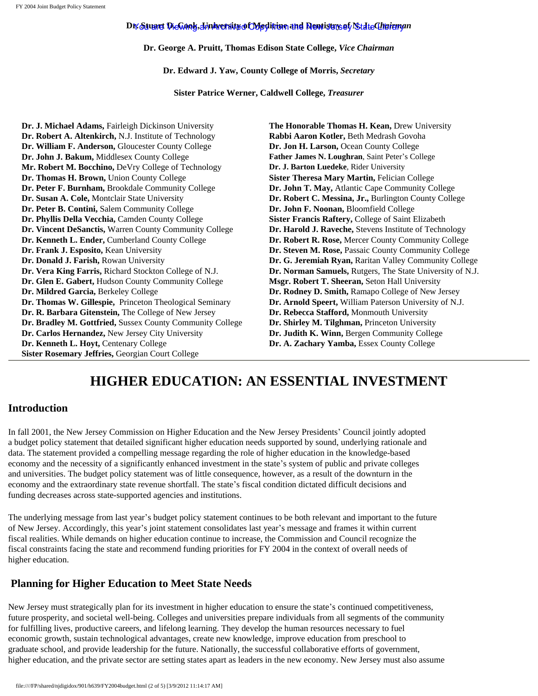# Dr. Stuart DieGook, Joniversit<u>e of Medicine and Newisters of State Chairm</u>an

**Dr. George A. Pruitt, Thomas Edison State College,** *Vice Chairman*

**Dr. Edward J. Yaw, County College of Morris,** *Secretary*

**Sister Patrice Werner, Caldwell College,** *Treasurer*

**Dr. J. Michael Adams,** Fairleigh Dickinson University **The Honorable Thomas H. Kean,** Drew University **Dr. Robert A. Altenkirch,** N.J. Institute of Technology **Rabbi Aaron Kotler,** Beth Medrash Govoha **Dr. William F. Anderson,** Gloucester County College **Dr. Jon H. Larson,** Ocean County College **Dr. John J. Bakum,** Middlesex County College **Father James N. Loughran**, Saint Peter's College **Mr. Robert M. Bocchino,** DeVry College of Technology **Dr. J. Barton Luedeke**, Rider University **Dr. Thomas H. Brown,** Union County College **Sister Theresa Mary Martin,** Felician College **Dr. Peter F. Burnham,** Brookdale Community College **Dr. John T. May,** Atlantic Cape Community College **Dr. Susan A. Cole,** Montclair State University **Dr. Robert C. Messina, Jr.,** Burlington County College **Dr. Peter B. Contini,** Salem Community College **Dr. John F. Noonan,** Bloomfield College **Dr. Phyllis Della Vecchia,** Camden County College **Sister Francis Raftery,** College of Saint Elizabeth **Dr. Vincent DeSanctis,** Warren County Community College **Dr. Harold J. Raveche,** Stevens Institute of Technology **Dr. Kenneth L. Ender,** Cumberland County College **Dr. Robert R. Rose,** Mercer County Community College **Dr. Frank J. Esposito,** Kean University **Dr. Steven M. Rose, Passaic County Community College Dr. Donald J. Farish, Rowan University <b>Dr. G. Jeremiah Ryan, Raritan Valley Community College Dr. Vera King Farris,** Richard Stockton College of N.J. **Dr. Norman Samuels,** Rutgers, The State University of N.J. **Dr. Glen E. Gabert,** Hudson County Community College **Msgr. Robert T. Sheeran,** Seton Hall University **Dr. Mildred Garcia, Berkeley College 2018 1996 1997 12: Dr. Rodney D. Smith, Ramapo College of New Jersey Dr. Thomas W. Gillespie,** Princeton Theological Seminary **Dr. Arnold Speert,** William Paterson University of N.J. **Dr. R. Barbara Gitenstein,** The College of New Jersey **Dr. Rebecca Stafford,** Monmouth University **Dr. Bradley M. Gottfried, Sussex County Community College Dr. Shirley M. Tilghman, Princeton University Dr. Carlos Hernandez, New Jersey City University Dr. Judith K. Winn, Bergen Community College Dr. Carlos Hernandez, New Jersey City University Dr. Kenneth L. Hoyt,** Centenary College **Dr. A. Zachary Yamba,** Essex County College **Sister Rosemary Jeffries,** Georgian Court College

# **HIGHER EDUCATION: AN ESSENTIAL INVESTMENT**

# **Introduction**

In fall 2001, the New Jersey Commission on Higher Education and the New Jersey Presidents' Council jointly adopted a budget policy statement that detailed significant higher education needs supported by sound, underlying rationale and data. The statement provided a compelling message regarding the role of higher education in the knowledge-based economy and the necessity of a significantly enhanced investment in the state's system of public and private colleges and universities. The budget policy statement was of little consequence, however, as a result of the downturn in the economy and the extraordinary state revenue shortfall. The state's fiscal condition dictated difficult decisions and funding decreases across state-supported agencies and institutions.

The underlying message from last year's budget policy statement continues to be both relevant and important to the future of New Jersey. Accordingly, this year's joint statement consolidates last year's message and frames it within current fiscal realities. While demands on higher education continue to increase, the Commission and Council recognize the fiscal constraints facing the state and recommend funding priorities for FY 2004 in the context of overall needs of higher education.

# **Planning for Higher Education to Meet State Needs**

New Jersey must strategically plan for its investment in higher education to ensure the state's continued competitiveness, future prosperity, and societal well-being. Colleges and universities prepare individuals from all segments of the community for fulfilling lives, productive careers, and lifelong learning. They develop the human resources necessary to fuel economic growth, sustain technological advantages, create new knowledge, improve education from preschool to graduate school, and provide leadership for the future. Nationally, the successful collaborative efforts of government, higher education, and the private sector are setting states apart as leaders in the new economy. New Jersey must also assume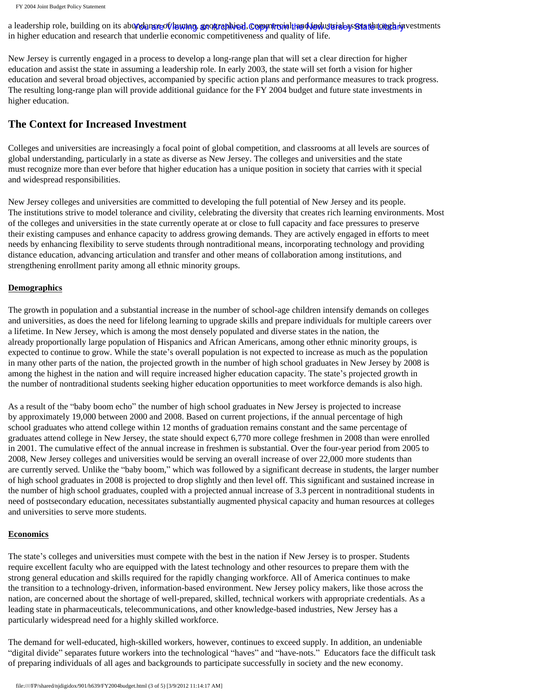FY 2004 Joint Budget Policy Statement

a leadership role, building on its abundangreot/human, grographical, Copyntronalthe Aledustrial ay State Longh investments in higher education and research that underlie economic competitiveness and quality of life.

New Jersey is currently engaged in a process to develop a long-range plan that will set a clear direction for higher education and assist the state in assuming a leadership role. In early 2003, the state will set forth a vision for higher education and several broad objectives, accompanied by specific action plans and performance measures to track progress. The resulting long-range plan will provide additional guidance for the FY 2004 budget and future state investments in higher education.

# **The Context for Increased Investment**

Colleges and universities are increasingly a focal point of global competition, and classrooms at all levels are sources of global understanding, particularly in a state as diverse as New Jersey. The colleges and universities and the state must recognize more than ever before that higher education has a unique position in society that carries with it special and widespread responsibilities.

New Jersey colleges and universities are committed to developing the full potential of New Jersey and its people. The institutions strive to model tolerance and civility, celebrating the diversity that creates rich learning environments. Most of the colleges and universities in the state currently operate at or close to full capacity and face pressures to preserve their existing campuses and enhance capacity to address growing demands. They are actively engaged in efforts to meet needs by enhancing flexibility to serve students through nontraditional means, incorporating technology and providing distance education, advancing articulation and transfer and other means of collaboration among institutions, and strengthening enrollment parity among all ethnic minority groups.

## **Demographics**

The growth in population and a substantial increase in the number of school-age children intensify demands on colleges and universities, as does the need for lifelong learning to upgrade skills and prepare individuals for multiple careers over a lifetime. In New Jersey, which is among the most densely populated and diverse states in the nation, the already proportionally large population of Hispanics and African Americans, among other ethnic minority groups, is expected to continue to grow. While the state's overall population is not expected to increase as much as the population in many other parts of the nation, the projected growth in the number of high school graduates in New Jersey by 2008 is among the highest in the nation and will require increased higher education capacity. The state's projected growth in the number of nontraditional students seeking higher education opportunities to meet workforce demands is also high.

As a result of the "baby boom echo" the number of high school graduates in New Jersey is projected to increase by approximately 19,000 between 2000 and 2008. Based on current projections, if the annual percentage of high school graduates who attend college within 12 months of graduation remains constant and the same percentage of graduates attend college in New Jersey, the state should expect 6,770 more college freshmen in 2008 than were enrolled in 2001. The cumulative effect of the annual increase in freshmen is substantial. Over the four-year period from 2005 to 2008, New Jersey colleges and universities would be serving an overall increase of over 22,000 more students than are currently served. Unlike the "baby boom," which was followed by a significant decrease in students, the larger number of high school graduates in 2008 is projected to drop slightly and then level off. This significant and sustained increase in the number of high school graduates, coupled with a projected annual increase of 3.3 percent in nontraditional students in need of postsecondary education, necessitates substantially augmented physical capacity and human resources at colleges and universities to serve more students.

## **Economics**

The state's colleges and universities must compete with the best in the nation if New Jersey is to prosper. Students require excellent faculty who are equipped with the latest technology and other resources to prepare them with the strong general education and skills required for the rapidly changing workforce. All of America continues to make the transition to a technology-driven, information-based environment. New Jersey policy makers, like those across the nation, are concerned about the shortage of well-prepared, skilled, technical workers with appropriate credentials. As a leading state in pharmaceuticals, telecommunications, and other knowledge-based industries, New Jersey has a particularly widespread need for a highly skilled workforce.

The demand for well-educated, high-skilled workers, however, continues to exceed supply. In addition, an undeniable "digital divide" separates future workers into the technological "haves" and "have-nots." Educators face the difficult task of preparing individuals of all ages and backgrounds to participate successfully in society and the new economy.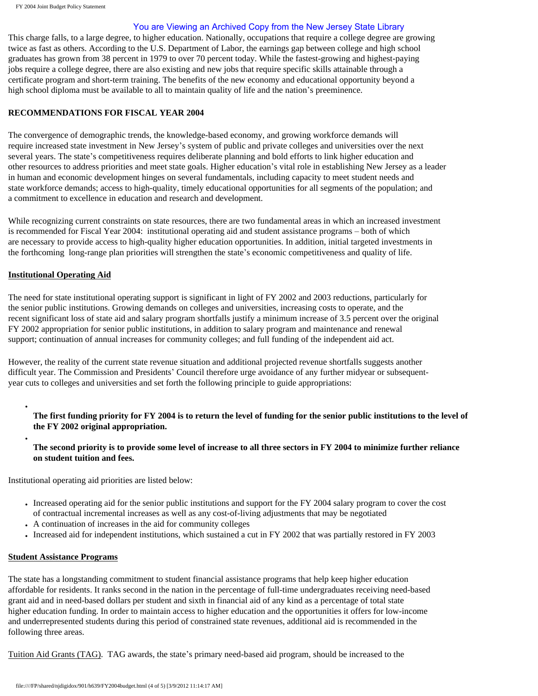## You are Viewing an Archived Copy from the New Jersey State Library

This charge falls, to a large degree, to higher education. Nationally, occupations that require a college degree are growing twice as fast as others. According to the U.S. Department of Labor, the earnings gap between college and high school graduates has grown from 38 percent in 1979 to over 70 percent today. While the fastest-growing and highest-paying jobs require a college degree, there are also existing and new jobs that require specific skills attainable through a certificate program and short-term training. The benefits of the new economy and educational opportunity beyond a high school diploma must be available to all to maintain quality of life and the nation's preeminence.

#### **RECOMMENDATIONS FOR FISCAL YEAR 2004**

The convergence of demographic trends, the knowledge-based economy, and growing workforce demands will require increased state investment in New Jersey's system of public and private colleges and universities over the next several years. The state's competitiveness requires deliberate planning and bold efforts to link higher education and other resources to address priorities and meet state goals. Higher education's vital role in establishing New Jersey as a leader in human and economic development hinges on several fundamentals, including capacity to meet student needs and state workforce demands; access to high-quality, timely educational opportunities for all segments of the population; and a commitment to excellence in education and research and development.

While recognizing current constraints on state resources, there are two fundamental areas in which an increased investment is recommended for Fiscal Year 2004: institutional operating aid and student assistance programs – both of which are necessary to provide access to high-quality higher education opportunities. In addition, initial targeted investments in the forthcoming long-range plan priorities will strengthen the state's economic competitiveness and quality of life.

## **Institutional Operating Aid**

●

●

The need for state institutional operating support is significant in light of FY 2002 and 2003 reductions, particularly for the senior public institutions. Growing demands on colleges and universities, increasing costs to operate, and the recent significant loss of state aid and salary program shortfalls justify a minimum increase of 3.5 percent over the original FY 2002 appropriation for senior public institutions, in addition to salary program and maintenance and renewal support; continuation of annual increases for community colleges; and full funding of the independent aid act.

However, the reality of the current state revenue situation and additional projected revenue shortfalls suggests another difficult year. The Commission and Presidents' Council therefore urge avoidance of any further midyear or subsequentyear cuts to colleges and universities and set forth the following principle to guide appropriations:

**The first funding priority for FY 2004 is to return the level of funding for the senior public institutions to the level of the FY 2002 original appropriation.**

**The second priority is to provide some level of increase to all three sectors in FY 2004 to minimize further reliance on student tuition and fees.** 

Institutional operating aid priorities are listed below:

- Increased operating aid for the senior public institutions and support for the FY 2004 salary program to cover the cost of contractual incremental increases as well as any cost-of-living adjustments that may be negotiated
- A continuation of increases in the aid for community colleges
- Increased aid for independent institutions, which sustained a cut in FY 2002 that was partially restored in FY 2003

#### **Student Assistance Programs**

The state has a longstanding commitment to student financial assistance programs that help keep higher education affordable for residents. It ranks second in the nation in the percentage of full-time undergraduates receiving need-based grant aid and in need-based dollars per student and sixth in financial aid of any kind as a percentage of total state higher education funding. In order to maintain access to higher education and the opportunities it offers for low-income and underrepresented students during this period of constrained state revenues, additional aid is recommended in the following three areas.

Tuition Aid Grants (TAG). TAG awards, the state's primary need-based aid program, should be increased to the